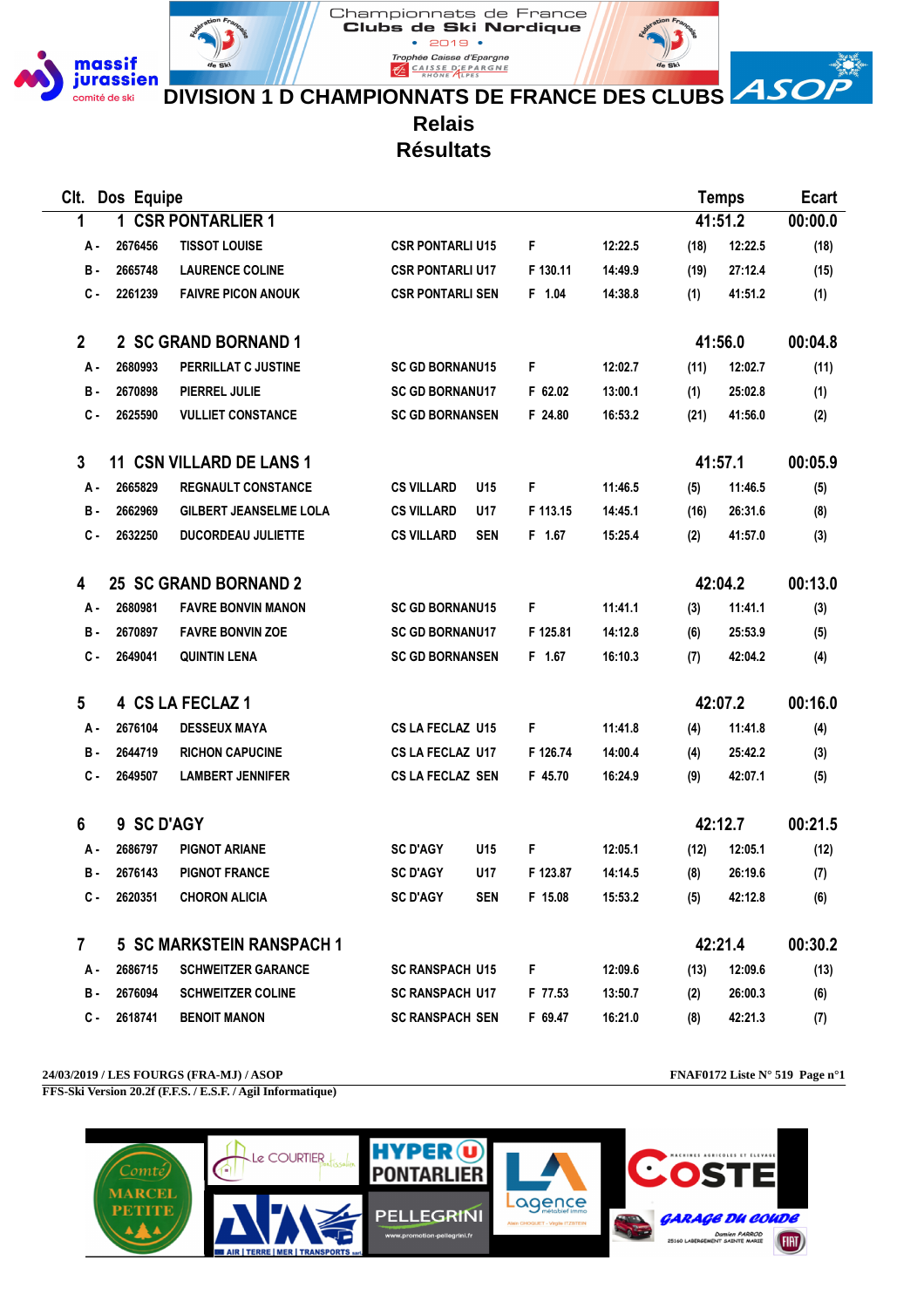

Clubs de Ski Nordique  $• 2019 •$ Trophée Caisse d'Epargne **EXPARGALIST CALSE DEPARGNE** 

Championnats de France



**DIVISION 1 D CHAMPIONNATS DE FRANCE DES CLUBS ASO** 

**Relais**

**Résultats**

| Clt.         | Dos Equipe |                                  |                         |            |          |         |      | <b>Temps</b> | <b>Ecart</b> |
|--------------|------------|----------------------------------|-------------------------|------------|----------|---------|------|--------------|--------------|
| 1            |            | 1 CSR PONTARLIER 1               |                         |            |          |         |      | 41:51.2      | 00:00.0      |
| А.           | 2676456    | <b>TISSOT LOUISE</b>             | <b>CSR PONTARLI U15</b> |            | F        | 12:22.5 | (18) | 12:22.5      | (18)         |
| в.           | 2665748    | <b>LAURENCE COLINE</b>           | <b>CSR PONTARLI U17</b> |            | F 130.11 | 14:49.9 | (19) | 27:12.4      | (15)         |
| C -          | 2261239    | <b>FAIVRE PICON ANOUK</b>        | <b>CSR PONTARLI SEN</b> |            | F 1.04   | 14:38.8 | (1)  | 41:51.2      | (1)          |
| $\mathbf{2}$ |            | 2 SC GRAND BORNAND 1             |                         |            |          |         |      | 41:56.0      | 00:04.8      |
| A -          | 2680993    | PERRILLAT C JUSTINE              | <b>SC GD BORNANU15</b>  |            | F        | 12:02.7 | (11) | 12:02.7      | (11)         |
| в.           | 2670898    | PIERREL JULIE                    | <b>SC GD BORNANU17</b>  |            | F 62.02  | 13:00.1 | (1)  | 25:02.8      | (1)          |
| С.           | 2625590    | <b>VULLIET CONSTANCE</b>         | <b>SC GD BORNANSEN</b>  |            | F 24.80  | 16:53.2 | (21) | 41:56.0      | (2)          |
| 3            |            | <b>11 CSN VILLARD DE LANS 1</b>  |                         |            |          |         |      | 41:57.1      | 00:05.9      |
| А -          | 2665829    | <b>REGNAULT CONSTANCE</b>        | <b>CS VILLARD</b>       | U15        | F        | 11:46.5 | (5)  | 11:46.5      | (5)          |
| В.           | 2662969    | <b>GILBERT JEANSELME LOLA</b>    | <b>CS VILLARD</b>       | U17        | F 113.15 | 14:45.1 | (16) | 26:31.6      | (8)          |
| с.           | 2632250    | <b>DUCORDEAU JULIETTE</b>        | <b>CS VILLARD</b>       | <b>SEN</b> | F 1.67   | 15:25.4 | (2)  | 41:57.0      | (3)          |
| 4            |            | <b>25 SC GRAND BORNAND 2</b>     |                         |            |          |         |      | 42:04.2      | 00:13.0      |
| А-           | 2680981    | <b>FAVRE BONVIN MANON</b>        | <b>SC GD BORNANU15</b>  |            | F        | 11:41.1 | (3)  | 11:41.1      | (3)          |
| <b>B</b> -   | 2670897    | <b>FAVRE BONVIN ZOE</b>          | <b>SC GD BORNANU17</b>  |            | F 125.81 | 14:12.8 | (6)  | 25:53.9      | (5)          |
| $c -$        | 2649041    | <b>QUINTIN LENA</b>              | <b>SC GD BORNANSEN</b>  |            | F 1.67   | 16:10.3 | (7)  | 42:04.2      | (4)          |
| 5            |            | 4 CS LA FECLAZ 1                 |                         |            |          |         |      | 42:07.2      | 00:16.0      |
| А.           | 2676104    | <b>DESSEUX MAYA</b>              | CS LA FECLAZ U15        |            | F        | 11:41.8 | (4)  | 11:41.8      | (4)          |
| В.           | 2644719    | <b>RICHON CAPUCINE</b>           | CS LA FECLAZ U17        |            | F 126.74 | 14:00.4 | (4)  | 25:42.2      | (3)          |
| с.           | 2649507    | <b>LAMBERT JENNIFER</b>          | <b>CS LA FECLAZ SEN</b> |            | F 45.70  | 16:24.9 | (9)  | 42:07.1      | (5)          |
| 6            | 9 SC D'AGY |                                  |                         |            |          |         |      | 42:12.7      | 00:21.5      |
| А.           | 2686797    | <b>PIGNOT ARIANE</b>             | <b>SC D'AGY</b>         | U15        | F        | 12:05.1 | (12) | 12:05.1      | (12)         |
| в.           | 2676143    | <b>PIGNOT FRANCE</b>             | <b>SC D'AGY</b>         | U17        | F 123.87 | 14:14.5 | (8)  | 26:19.6      | (7)          |
| с.           | 2620351    | <b>CHORON ALICIA</b>             | <b>SC D'AGY</b>         | <b>SEN</b> | F 15.08  | 15:53.2 | (5)  | 42:12.8      | (6)          |
| $\mathbf{7}$ |            | <b>5 SC MARKSTEIN RANSPACH 1</b> |                         |            |          |         |      | 42:21.4      | 00:30.2      |
| А -          | 2686715    | <b>SCHWEITZER GARANCE</b>        | <b>SC RANSPACH U15</b>  |            | F        | 12:09.6 | (13) | 12:09.6      | (13)         |
| в.           | 2676094    | <b>SCHWEITZER COLINE</b>         | <b>SC RANSPACH U17</b>  |            | F 77.53  | 13:50.7 | (2)  | 26:00.3      | (6)          |
| c.           | 2618741    | <b>BENOIT MANON</b>              | <b>SC RANSPACH SEN</b>  |            | F 69.47  | 16:21.0 | (8)  | 42:21.3      | (7)          |

**24/03/2019 / LES FOURGS (FRA-MJ) / ASOP FNAF0172 Liste N° 519 Page n°1**



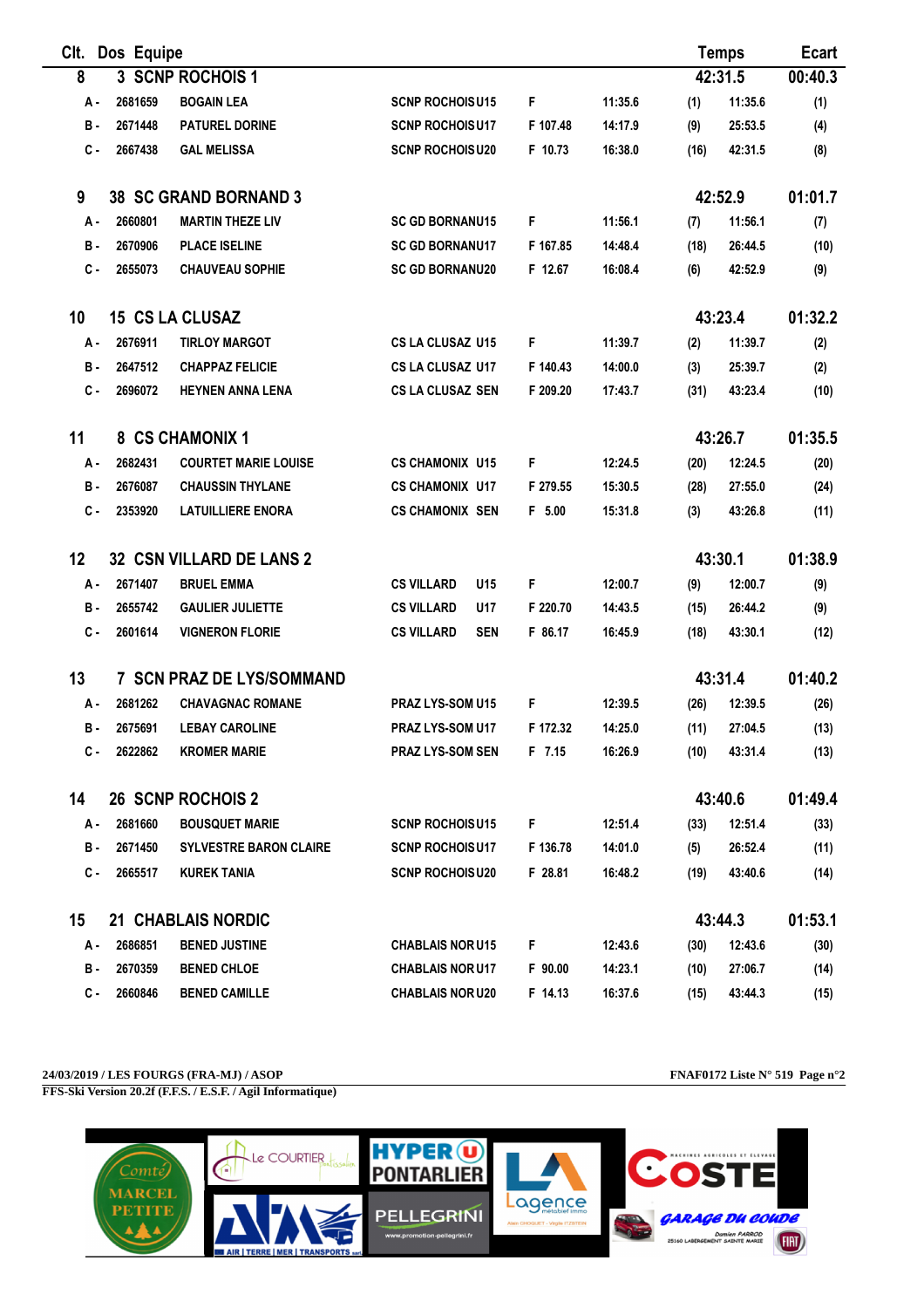| Clt.  | Dos Equipe |                                 |                                      |          |         |      | <b>Temps</b> | <b>Ecart</b> |
|-------|------------|---------------------------------|--------------------------------------|----------|---------|------|--------------|--------------|
| 8     |            | 3 SCNP ROCHOIS 1                |                                      |          |         |      | 42:31.5      | 00:40.3      |
| А.    | 2681659    | <b>BOGAIN LEA</b>               | <b>SCNP ROCHOISU15</b>               | F        | 11:35.6 | (1)  | 11:35.6      | (1)          |
| в.    | 2671448    | <b>PATUREL DORINE</b>           | <b>SCNP ROCHOISU17</b>               | F 107.48 | 14:17.9 | (9)  | 25:53.5      | (4)          |
| $c -$ | 2667438    | <b>GAL MELISSA</b>              | <b>SCNP ROCHOISU20</b>               | F 10.73  | 16:38.0 | (16) | 42:31.5      | (8)          |
| 9     |            | <b>38 SC GRAND BORNAND 3</b>    |                                      |          |         |      | 42:52.9      | 01:01.7      |
| A -   | 2660801    | <b>MARTIN THEZE LIV</b>         | <b>SC GD BORNANU15</b>               | F        | 11:56.1 | (7)  | 11:56.1      | (7)          |
| в.    | 2670906    | <b>PLACE ISELINE</b>            | <b>SC GD BORNANU17</b>               | F 167.85 | 14:48.4 | (18) | 26:44.5      | (10)         |
| $c -$ | 2655073    | <b>CHAUVEAU SOPHIE</b>          | <b>SC GD BORNANU20</b>               | F 12.67  | 16:08.4 | (6)  | 42:52.9      | (9)          |
| 10    |            | <b>15 CS LA CLUSAZ</b>          |                                      |          |         |      | 43:23.4      | 01:32.2      |
| А.    | 2676911    | <b>TIRLOY MARGOT</b>            | CS LA CLUSAZ U15                     | F        | 11:39.7 | (2)  | 11:39.7      | (2)          |
| в.    | 2647512    | <b>CHAPPAZ FELICIE</b>          | <b>CS LA CLUSAZ U17</b>              | F 140.43 | 14:00.0 | (3)  | 25:39.7      | (2)          |
| $c -$ | 2696072    | <b>HEYNEN ANNA LENA</b>         | <b>CS LA CLUSAZ SEN</b>              | F 209.20 | 17:43.7 | (31) | 43:23.4      | (10)         |
| 11    |            | 8 CS CHAMONIX 1                 |                                      |          |         |      | 43:26.7      | 01:35.5      |
| А-    | 2682431    | <b>COURTET MARIE LOUISE</b>     | <b>CS CHAMONIX U15</b>               | F        | 12:24.5 | (20) | 12:24.5      | (20)         |
| в.    | 2676087    | <b>CHAUSSIN THYLANE</b>         | <b>CS CHAMONIX U17</b>               | F 279.55 | 15:30.5 | (28) | 27:55.0      | (24)         |
| $c -$ | 2353920    | <b>LATUILLIERE ENORA</b>        | <b>CS CHAMONIX SEN</b>               | F 5.00   | 15:31.8 | (3)  | 43:26.8      | (11)         |
| 12    |            | <b>32 CSN VILLARD DE LANS 2</b> |                                      |          |         |      | 43:30.1      | 01:38.9      |
| А.    | 2671407    | <b>BRUEL EMMA</b>               | <b>CS VILLARD</b><br>U <sub>15</sub> | F        | 12:00.7 | (9)  | 12:00.7      | (9)          |
| в.    | 2655742    | <b>GAULIER JULIETTE</b>         | <b>CS VILLARD</b><br>U17             | F 220.70 | 14:43.5 | (15) | 26:44.2      | (9)          |
| с.    | 2601614    | <b>VIGNERON FLORIE</b>          | <b>CS VILLARD</b><br><b>SEN</b>      | F 86.17  | 16:45.9 | (18) | 43:30.1      | (12)         |
| 13    |            | 7 SCN PRAZ DE LYS/SOMMAND       |                                      |          |         |      | 43:31.4      | 01:40.2      |
| А.    | 2681262    | <b>CHAVAGNAC ROMANE</b>         | PRAZ LYS-SOM U15                     | F        | 12:39.5 | (26) | 12:39.5      | (26)         |
| в.    | 2675691    | <b>LEBAY CAROLINE</b>           | PRAZ LYS-SOM U17                     | F 172.32 | 14:25.0 | (11) | 27:04.5      | (13)         |
| с.    | 2622862    | <b>KROMER MARIE</b>             | <b>PRAZ LYS-SOM SEN</b>              | F 7.15   | 16:26.9 | (10) | 43:31.4      | (13)         |
| 14    |            | <b>26 SCNP ROCHOIS 2</b>        |                                      |          |         |      | 43:40.6      | 01:49.4      |
| А -   | 2681660    | <b>BOUSQUET MARIE</b>           | <b>SCNP ROCHOISU15</b>               | F.       | 12:51.4 | (33) | 12:51.4      | (33)         |
| в.    | 2671450    | <b>SYLVESTRE BARON CLAIRE</b>   | <b>SCNP ROCHOISU17</b>               | F 136.78 | 14:01.0 | (5)  | 26:52.4      | (11)         |
| c.    | 2665517    | <b>KUREK TANIA</b>              | <b>SCNP ROCHOISU20</b>               | F 28.81  | 16:48.2 | (19) | 43:40.6      | (14)         |
| 15    |            | 21 CHABLAIS NORDIC              |                                      |          |         |      | 43:44.3      | 01:53.1      |
| А.    | 2686851    | <b>BENED JUSTINE</b>            | <b>CHABLAIS NOR U15</b>              | F.       | 12:43.6 | (30) | 12:43.6      | (30)         |
| в.    | 2670359    | <b>BENED CHLOE</b>              | <b>CHABLAIS NOR U17</b>              | F 90.00  | 14:23.1 | (10) | 27:06.7      | (14)         |
| c.    | 2660846    | <b>BENED CAMILLE</b>            | <b>CHABLAIS NOR U20</b>              | F 14.13  | 16:37.6 | (15) | 43:44.3      | (15)         |

**24/03/2019 / LES FOURGS (FRA-MJ) / ASOP FNAF0172 Liste N° 519 Page n°2 FFS-Ski Version 20.2f (F.F.S. / E.S.F. / Agil Informatique)**

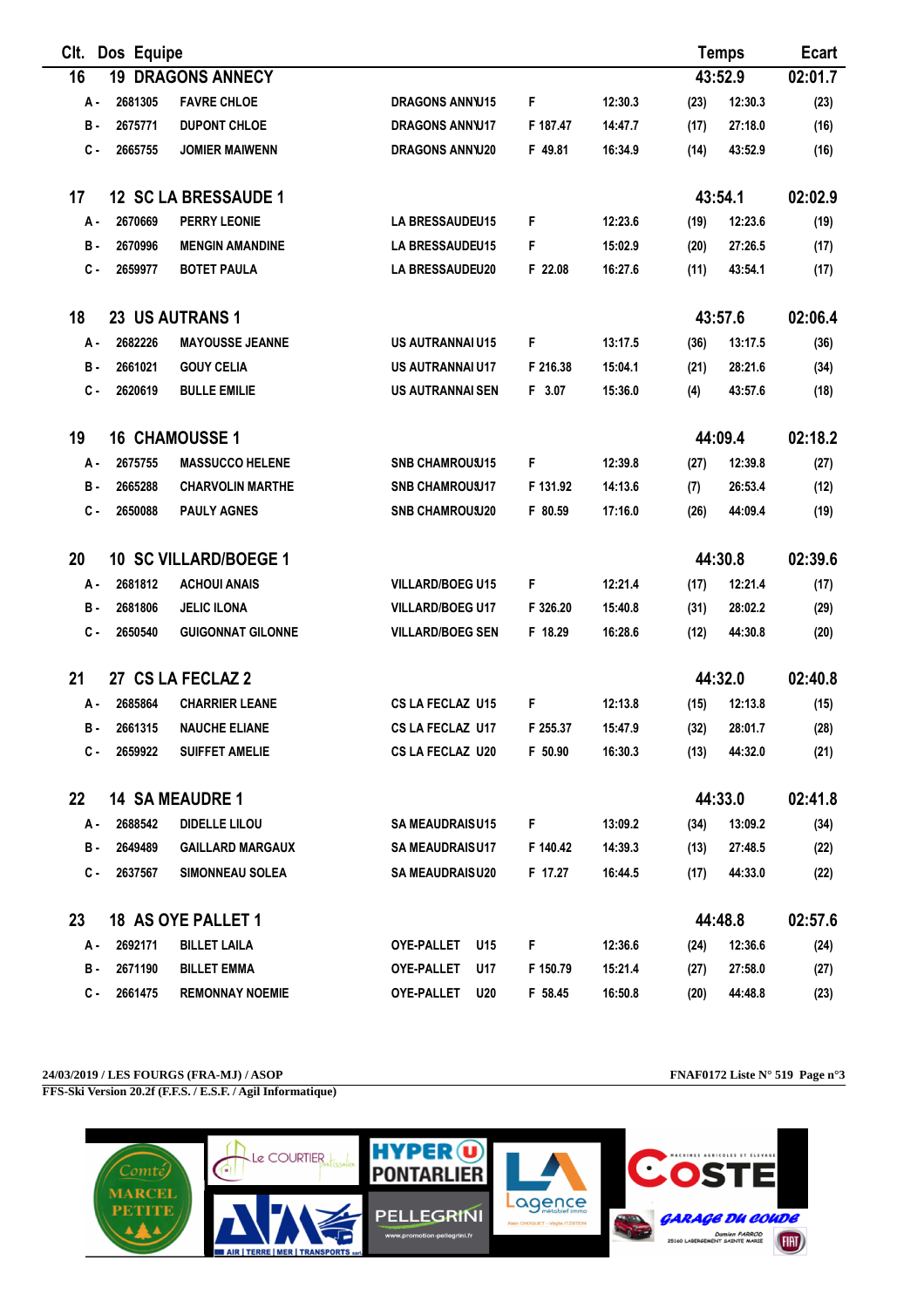| Clt.             | Dos Equipe |                              |                         |                |         |      | <b>Temps</b> | <b>Ecart</b> |
|------------------|------------|------------------------------|-------------------------|----------------|---------|------|--------------|--------------|
| 16               | 19         | <b>DRAGONS ANNECY</b>        |                         |                |         |      | 43:52.9      | 02:01.7      |
| А -              | 2681305    | <b>FAVRE CHLOE</b>           | <b>DRAGONS ANNW15</b>   | F              | 12:30.3 | (23) | 12:30.3      | (23)         |
| в.               | 2675771    | <b>DUPONT CHLOE</b>          | <b>DRAGONS ANNW17</b>   | F 187.47       | 14:47.7 | (17) | 27:18.0      | (16)         |
| с.               | 2665755    | <b>JOMIER MAIWENN</b>        | <b>DRAGONS ANNW20</b>   | F 49.81        | 16:34.9 | (14) | 43:52.9      | (16)         |
| 17               |            | 12 SC LA BRESSAUDE 1         |                         |                |         |      | 43:54.1      | 02:02.9      |
| А.               | 2670669    | <b>PERRY LEONIE</b>          | LA BRESSAUDEU15         | F              | 12:23.6 | (19) | 12:23.6      | (19)         |
| в.               | 2670996    | <b>MENGIN AMANDINE</b>       | <b>LA BRESSAUDEU15</b>  | F              | 15:02.9 | (20) | 27:26.5      | (17)         |
| $c -$            | 2659977    | <b>BOTET PAULA</b>           | <b>LA BRESSAUDEU20</b>  | F 22.08        | 16:27.6 | (11) | 43:54.1      | (17)         |
| 18               |            | 23 US AUTRANS 1              |                         |                |         |      | 43:57.6      | 02:06.4      |
| А.               | 2682226    | <b>MAYOUSSE JEANNE</b>       | <b>US AUTRANNAI U15</b> | F              | 13:17.5 | (36) | 13:17.5      | (36)         |
| в.               | 2661021    | <b>GOUY CELIA</b>            | <b>US AUTRANNAI U17</b> | F 216.38       | 15:04.1 | (21) | 28:21.6      | (34)         |
| $c -$            | 2620619    | <b>BULLE EMILIE</b>          | <b>US AUTRANNAI SEN</b> | F 3.07         | 15:36.0 | (4)  | 43:57.6      | (18)         |
| 19               |            | <b>16 CHAMOUSSE 1</b>        |                         |                |         |      | 44:09.4      | 02:18.2      |
| А.               | 2675755    | <b>MASSUCCO HELENE</b>       | <b>SNB CHAMROUSU15</b>  | F              | 12:39.8 | (27) | 12:39.8      | (27)         |
| в.               | 2665288    | <b>CHARVOLIN MARTHE</b>      | <b>SNB CHAMROUSU17</b>  | F 131.92       | 14:13.6 | (7)  | 26:53.4      | (12)         |
| с.               | 2650088    | <b>PAULY AGNES</b>           | <b>SNB CHAMROUSU20</b>  | F 80.59        | 17:16.0 | (26) | 44:09.4      | (19)         |
| 20               |            | <b>10 SC VILLARD/BOEGE 1</b> |                         |                |         |      | 44:30.8      | 02:39.6      |
| А.               | 2681812    | <b>ACHOUI ANAIS</b>          | <b>VILLARD/BOEG U15</b> | F              | 12:21.4 | (17) | 12:21.4      | (17)         |
| в.               | 2681806    | <b>JELIC ILONA</b>           | <b>VILLARD/BOEG U17</b> | F 326.20       | 15:40.8 | (31) | 28:02.2      | (29)         |
| $c -$            | 2650540    | <b>GUIGONNAT GILONNE</b>     | <b>VILLARD/BOEG SEN</b> | F 18.29        | 16:28.6 | (12) | 44:30.8      | (20)         |
| 21               |            | 27 CS LA FECLAZ 2            |                         |                |         |      | 44:32.0      | 02:40.8      |
| А.               | 2685864    | <b>CHARRIER LEANE</b>        | <b>CS LA FECLAZ U15</b> | F              | 12:13.8 | (15) | 12:13.8      | (15)         |
| в.               | 2661315    | <b>NAUCHE ELIANE</b>         | CS LA FECLAZ U17        | F 255.37       | 15:47.9 | (32) | 28:01.7      | (28)         |
| с.               | 2659922    | <b>SUIFFET AMELIE</b>        | <b>CS LA FECLAZ U20</b> | F 50.90        | 16:30.3 | (13) | 44:32.0      | (21)         |
| $22\phantom{.0}$ |            | <b>14 SA MEAUDRE 1</b>       |                         |                |         |      | 44:33.0      | 02:41.8      |
| A -              | 2688542    | <b>DIDELLE LILOU</b>         | <b>SA MEAUDRAISU15</b>  | F <sub>1</sub> | 13:09.2 | (34) | 13:09.2      | (34)         |
| в.               | 2649489    | <b>GAILLARD MARGAUX</b>      | <b>SA MEAUDRAISU17</b>  | F 140.42       | 14:39.3 | (13) | 27:48.5      | (22)         |
| C -              | 2637567    | <b>SIMONNEAU SOLEA</b>       | <b>SA MEAUDRAISU20</b>  | F 17.27        | 16:44.5 | (17) | 44:33.0      | (22)         |
| 23               |            | 18 AS OYE PALLET 1           |                         |                |         |      | 44:48.8      | 02:57.6      |
| А -              | 2692171    | <b>BILLET LAILA</b>          | OYE-PALLET U15          | F <sub>1</sub> | 12:36.6 | (24) | 12:36.6      | (24)         |
| в.               | 2671190    | <b>BILLET EMMA</b>           | OYE-PALLET<br>U17       | F 150.79       | 15:21.4 | (27) | 27:58.0      | (27)         |
| С.               | 2661475    | <b>REMONNAY NOEMIE</b>       | OYE-PALLET U20          | F 58.45        | 16:50.8 | (20) | 44:48.8      | (23)         |

## **24/03/2019 / LES FOURGS (FRA-MJ) / ASOP FNAF0172 Liste N° 519 Page n°3**

**FFS-Ski Version 20.2f (F.F.S. / E.S.F. / Agil Informatique)**

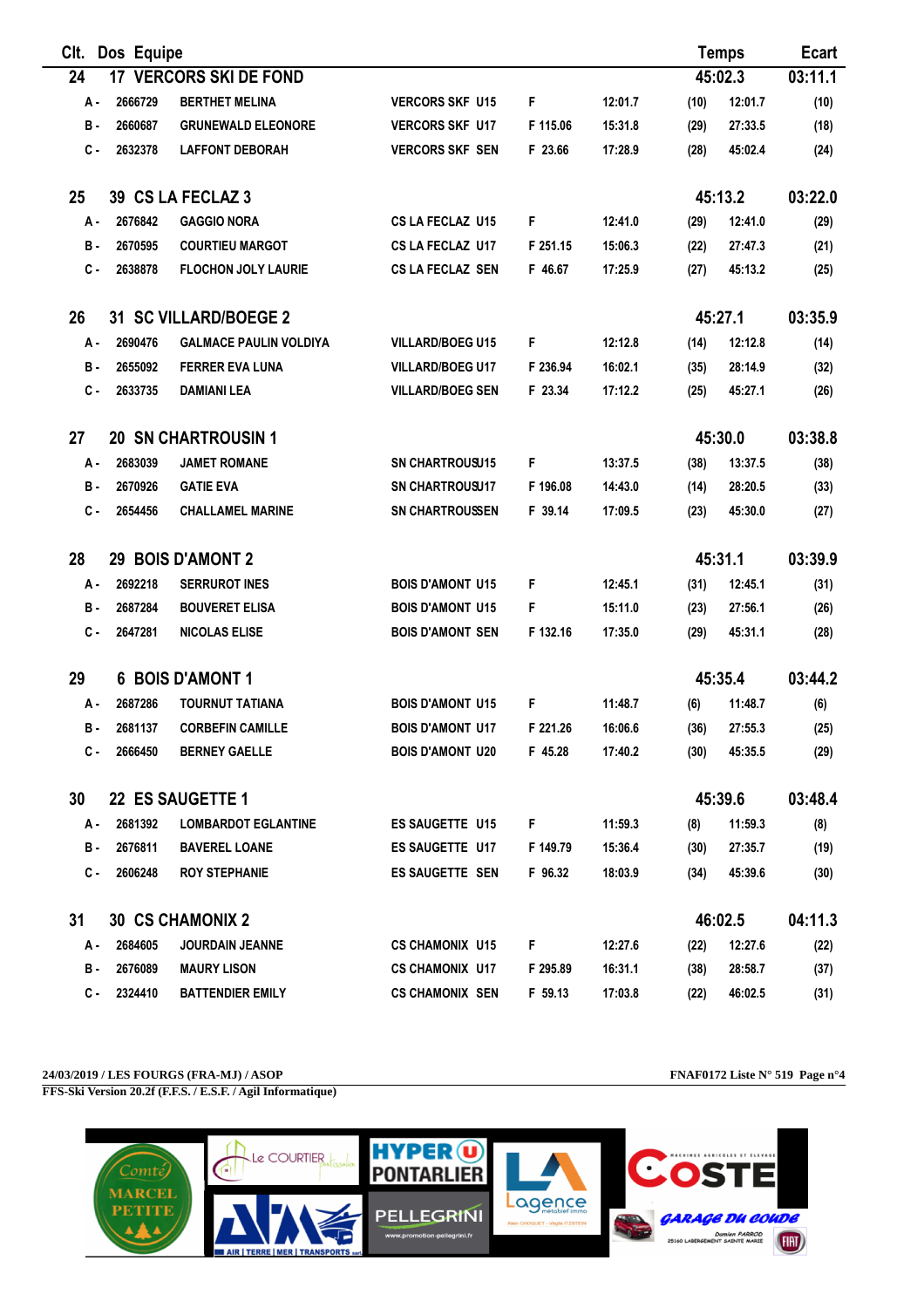| CIt.  | Dos Equipe  |                               |                         |          |         |      | <b>Temps</b> | <b>Ecart</b> |
|-------|-------------|-------------------------------|-------------------------|----------|---------|------|--------------|--------------|
| 24    |             | <b>17 VERCORS SKI DE FOND</b> |                         |          |         |      | 45:02.3      | 03:11.1      |
| А.    | 2666729     | <b>BERTHET MELINA</b>         | <b>VERCORS SKF U15</b>  | F        | 12:01.7 | (10) | 12:01.7      | (10)         |
| в.    | 2660687     | <b>GRUNEWALD ELEONORE</b>     | <b>VERCORS SKF U17</b>  | F 115.06 | 15:31.8 | (29) | 27:33.5      | (18)         |
| с.    | 2632378     | <b>LAFFONT DEBORAH</b>        | <b>VERCORS SKF SEN</b>  | F 23.66  | 17:28.9 | (28) | 45:02.4      | (24)         |
| 25    |             | 39 CS LA FECLAZ 3             |                         |          |         |      | 45:13.2      | 03:22.0      |
| А.    | 2676842     | <b>GAGGIO NORA</b>            | <b>CS LA FECLAZ U15</b> | F        | 12:41.0 | (29) | 12:41.0      | (29)         |
| в.    | 2670595     | <b>COURTIEU MARGOT</b>        | CS LA FECLAZ U17        | F 251.15 | 15:06.3 | (22) | 27:47.3      | (21)         |
| с.    | 2638878     | <b>FLOCHON JOLY LAURIE</b>    | CS LA FECLAZ SEN        | F 46.67  | 17:25.9 | (27) | 45:13.2      | (25)         |
| 26    |             | 31 SC VILLARD/BOEGE 2         |                         |          |         |      | 45:27.1      | 03:35.9      |
| А-    | 2690476     | <b>GALMACE PAULIN VOLDIYA</b> | <b>VILLARD/BOEG U15</b> | F        | 12:12.8 | (14) | 12:12.8      | (14)         |
| в.    | 2655092     | <b>FERRER EVA LUNA</b>        | <b>VILLARD/BOEG U17</b> | F 236.94 | 16:02.1 | (35) | 28:14.9      | (32)         |
| с.    | 2633735     | <b>DAMIANI LEA</b>            | <b>VILLARD/BOEG SEN</b> | F 23.34  | 17:12.2 | (25) | 45:27.1      | (26)         |
| 27    |             | <b>20 SN CHARTROUSIN 1</b>    |                         |          |         |      | 45:30.0      | 03:38.8      |
| А.    | 2683039     | <b>JAMET ROMANE</b>           | <b>SN CHARTROUSU15</b>  | F        | 13:37.5 | (38) | 13:37.5      | (38)         |
| в.    | 2670926     | <b>GATIE EVA</b>              | <b>SN CHARTROUSU17</b>  | F 196.08 | 14:43.0 | (14) | 28:20.5      | (33)         |
| с.    | 2654456     | <b>CHALLAMEL MARINE</b>       | <b>SN CHARTROUSSEN</b>  | F 39.14  | 17:09.5 | (23) | 45:30.0      | (27)         |
| 28    |             | 29 BOIS D'AMONT 2             |                         |          |         |      | 45:31.1      | 03:39.9      |
| А.    | 2692218     | <b>SERRUROT INES</b>          | <b>BOIS D'AMONT U15</b> | F        | 12:45.1 | (31) | 12:45.1      | (31)         |
| в.    | 2687284     | <b>BOUVERET ELISA</b>         | <b>BOIS D'AMONT U15</b> | F        | 15:11.0 | (23) | 27:56.1      | (26)         |
| $c -$ | 2647281     | <b>NICOLAS ELISE</b>          | <b>BOIS D'AMONT SEN</b> | F 132.16 | 17:35.0 | (29) | 45:31.1      | (28)         |
| 29    |             | <b>6 BOIS D'AMONT 1</b>       |                         |          |         |      | 45:35.4      | 03:44.2      |
| А.    | 2687286     | <b>TOURNUT TATIANA</b>        | <b>BOIS D'AMONT U15</b> | F        | 11:48.7 | (6)  | 11:48.7      | (6)          |
| в.    | 2681137     | <b>CORBEFIN CAMILLE</b>       | <b>BOIS D'AMONT U17</b> | F 221.26 | 16:06.6 | (36) | 27:55.3      | (25)         |
| с.    | 2666450     | <b>BERNEY GAELLE</b>          | <b>BOIS D'AMONT U20</b> | F 45.28  | 17:40.2 | (30) | 45:35.5      | (29)         |
| 30    |             | 22 ES SAUGETTE 1              |                         |          |         |      | 45:39.6      | 03:48.4      |
| A -   | 2681392     | <b>LOMBARDOT EGLANTINE</b>    | <b>ES SAUGETTE U15</b>  | F.       | 11:59.3 | (8)  | 11:59.3      | (8)          |
| в.    | 2676811     | <b>BAVEREL LOANE</b>          | ES SAUGETTE U17         | F 149.79 | 15:36.4 | (30) | 27:35.7      | (19)         |
| С.    | 2606248     | <b>ROY STEPHANIE</b>          | <b>ES SAUGETTE SEN</b>  | F 96.32  | 18:03.9 | (34) | 45:39.6      | (30)         |
| 31    |             | <b>30 CS CHAMONIX 2</b>       |                         |          |         |      | 46:02.5      | 04:11.3      |
|       | A - 2684605 | <b>JOURDAIN JEANNE</b>        | <b>CS CHAMONIX U15</b>  | F.       | 12:27.6 | (22) | 12:27.6      | (22)         |
| в.    | 2676089     | <b>MAURY LISON</b>            | <b>CS CHAMONIX U17</b>  | F 295.89 | 16:31.1 | (38) | 28:58.7      | (37)         |
| с.    | 2324410     | <b>BATTENDIER EMILY</b>       | <b>CS CHAMONIX SEN</b>  | F 59.13  | 17:03.8 | (22) | 46:02.5      | (31)         |

## **24/03/2019 / LES FOURGS (FRA-MJ) / ASOP FNAF0172 Liste N° 519 Page n°4**

**FFS-Ski Version 20.2f (F.F.S. / E.S.F. / Agil Informatique)**

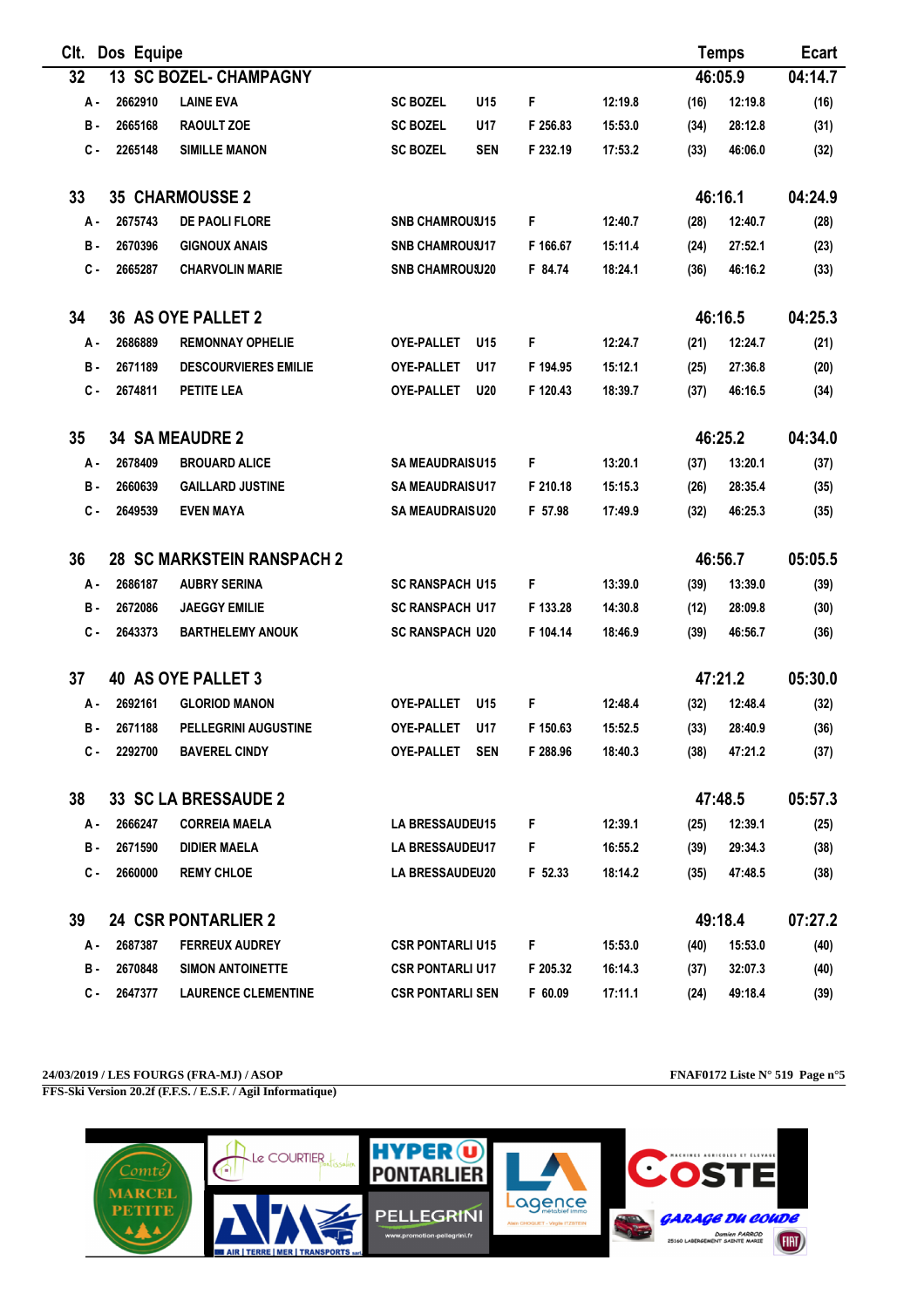| CIt. | Dos Equipe |                                   |                         |            |          |         |      | <b>Temps</b> | <b>Ecart</b> |
|------|------------|-----------------------------------|-------------------------|------------|----------|---------|------|--------------|--------------|
| 32   |            | <b>13 SC BOZEL- CHAMPAGNY</b>     |                         |            |          |         |      | 46:05.9      | 04:14.7      |
| А.   | 2662910    | <b>LAINE EVA</b>                  | <b>SC BOZEL</b>         | U15        | F        | 12:19.8 | (16) | 12:19.8      | (16)         |
| в.   | 2665168    | <b>RAOULT ZOE</b>                 | <b>SC BOZEL</b>         | U17        | F 256.83 | 15:53.0 | (34) | 28:12.8      | (31)         |
| с.   | 2265148    | <b>SIMILLE MANON</b>              | <b>SC BOZEL</b>         | <b>SEN</b> | F 232.19 | 17:53.2 | (33) | 46:06.0      | (32)         |
| 33   |            | <b>35 CHARMOUSSE 2</b>            |                         |            |          |         |      | 46:16.1      | 04:24.9      |
| А.   | 2675743    | DE PAOLI FLORE                    | <b>SNB CHAMROUSU15</b>  |            | F        | 12:40.7 | (28) | 12:40.7      | (28)         |
| в.   | 2670396    | <b>GIGNOUX ANAIS</b>              | <b>SNB CHAMROUSU17</b>  |            | F 166.67 | 15:11.4 | (24) | 27:52.1      | (23)         |
| c.   | 2665287    | <b>CHARVOLIN MARIE</b>            | <b>SNB CHAMROU U20</b>  |            | F 84.74  | 18:24.1 | (36) | 46:16.2      | (33)         |
| 34   |            | 36 AS OYE PALLET 2                |                         |            |          |         |      | 46:16.5      | 04:25.3      |
| А.   | 2686889    | <b>REMONNAY OPHELIE</b>           | <b>OYE-PALLET</b>       | U15        | F        | 12:24.7 | (21) | 12:24.7      | (21)         |
| в.   | 2671189    | <b>DESCOURVIERES EMILIE</b>       | <b>OYE-PALLET</b>       | U17        | F 194.95 | 15:12.1 | (25) | 27:36.8      | (20)         |
| c.   | 2674811    | <b>PETITE LEA</b>                 | OYE-PALLET              | <b>U20</b> | F 120.43 | 18:39.7 | (37) | 46:16.5      | (34)         |
| 35   |            | <b>34 SA MEAUDRE 2</b>            |                         |            |          |         |      | 46:25.2      | 04:34.0      |
| А.   | 2678409    | <b>BROUARD ALICE</b>              | <b>SA MEAUDRAISU15</b>  |            | F        | 13:20.1 | (37) | 13:20.1      | (37)         |
| в.   | 2660639    | <b>GAILLARD JUSTINE</b>           | <b>SA MEAUDRAISU17</b>  |            | F 210.18 | 15:15.3 | (26) | 28:35.4      | (35)         |
| c.   | 2649539    | <b>EVEN MAYA</b>                  | <b>SA MEAUDRAISU20</b>  |            | F 57.98  | 17:49.9 | (32) | 46:25.3      | (35)         |
| 36   |            | <b>28 SC MARKSTEIN RANSPACH 2</b> |                         |            |          |         |      | 46:56.7      | 05:05.5      |
| А.   | 2686187    | <b>AUBRY SERINA</b>               | <b>SC RANSPACH U15</b>  |            | F        | 13:39.0 | (39) | 13:39.0      | (39)         |
| в.   | 2672086    | <b>JAEGGY EMILIE</b>              | <b>SC RANSPACH U17</b>  |            | F 133.28 | 14:30.8 | (12) | 28:09.8      | (30)         |
| с.   | 2643373    | <b>BARTHELEMY ANOUK</b>           | <b>SC RANSPACH U20</b>  |            | F 104.14 | 18:46.9 | (39) | 46:56.7      | (36)         |
| 37   |            | <b>40 AS OYE PALLET 3</b>         |                         |            |          |         |      | 47:21.2      | 05:30.0      |
| А.   | 2692161    | <b>GLORIOD MANON</b>              | <b>OYE-PALLET</b>       | U15        | F        | 12:48.4 | (32) | 12:48.4      | (32)         |
| в.   | 2671188    | PELLEGRINI AUGUSTINE              | <b>OYE-PALLET</b>       | U17        | F 150.63 | 15:52.5 | (33) | 28:40.9      | (36)         |
| с.   | 2292700    | <b>BAVEREL CINDY</b>              | OYE-PALLET SEN          |            | F 288.96 | 18:40.3 | (38) | 47:21.2      | (37)         |
| 38   |            | 33 SC LA BRESSAUDE 2              |                         |            |          |         |      | 47:48.5      | 05:57.3      |
| А.   | 2666247    | <b>CORREIA MAELA</b>              | LA BRESSAUDEU15         |            | F        | 12:39.1 | (25) | 12:39.1      | (25)         |
| в.   | 2671590    | <b>DIDIER MAELA</b>               | <b>LA BRESSAUDEU17</b>  |            | F        | 16:55.2 | (39) | 29:34.3      | (38)         |
| С.   | 2660000    | <b>REMY CHLOE</b>                 | <b>LA BRESSAUDEU20</b>  |            | F 52.33  | 18:14.2 | (35) | 47:48.5      | (38)         |
| 39   |            | <b>24 CSR PONTARLIER 2</b>        |                         |            |          |         |      | 49:18.4      | 07:27.2      |
| А.   | 2687387    | <b>FERREUX AUDREY</b>             | <b>CSR PONTARLI U15</b> |            | F        | 15:53.0 | (40) | 15:53.0      | (40)         |
| в.   | 2670848    | <b>SIMON ANTOINETTE</b>           | <b>CSR PONTARLI U17</b> |            | F 205.32 | 16:14.3 | (37) | 32:07.3      | (40)         |
| С.   | 2647377    | <b>LAURENCE CLEMENTINE</b>        | <b>CSR PONTARLI SEN</b> |            | F 60.09  | 17:11.1 | (24) | 49:18.4      | (39)         |

## **24/03/2019 / LES FOURGS (FRA-MJ) / ASOP FNAF0172 Liste N° 519 Page n°5**

**FFS-Ski Version 20.2f (F.F.S. / E.S.F. / Agil Informatique)**